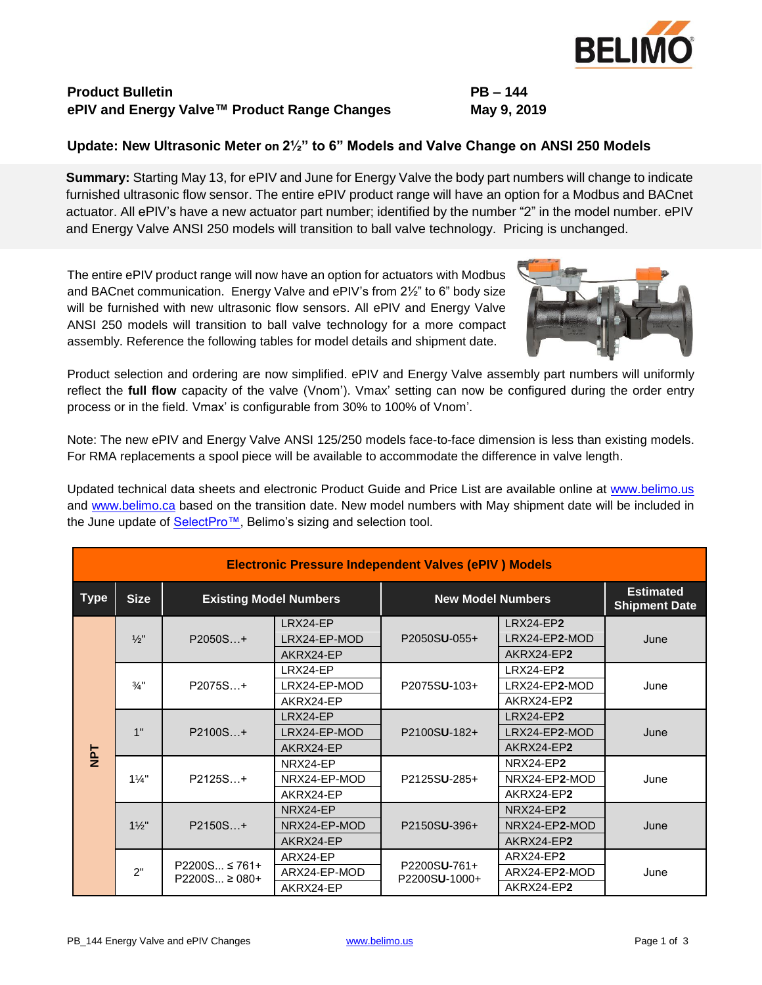

## **Product Bulletin PB – 144 ePIV and Energy Valve™ Product Range Changes May 9, 2019**

**Update: New Ultrasonic Meter on 2½" to 6" Models and Valve Change on ANSI 250 Models**

**Summary:** Starting May 13, for ePIV and June for Energy Valve the body part numbers will change to indicate furnished ultrasonic flow sensor. The entire ePIV product range will have an option for a Modbus and BACnet actuator. All ePIV's have a new actuator part number; identified by the number "2" in the model number. ePIV and Energy Valve ANSI 250 models will transition to ball valve technology. Pricing is unchanged.

The entire ePIV product range will now have an option for actuators with Modbus and BACnet communication. Energy Valve and ePIV's from 2½" to 6" body size will be furnished with new ultrasonic flow sensors. All ePIV and Energy Valve ANSI 250 models will transition to ball valve technology for a more compact assembly. Reference the following tables for model details and shipment date.



Product selection and ordering are now simplified. ePIV and Energy Valve assembly part numbers will uniformly reflect the **full flow** capacity of the valve (Vnom'). Vmax' setting can now be configured during the order entry process or in the field. Vmax' is configurable from 30% to 100% of Vnom'.

Note: The new ePIV and Energy Valve ANSI 125/250 models face-to-face dimension is less than existing models. For RMA replacements a spool piece will be available to accommodate the difference in valve length.

Updated technical data sheets and electronic Product Guide and Price List are available online at [www.belimo.us](https://www.belimo.us/) and [www.belimo.ca](https://www.belimo.ca/) based on the transition date. New model numbers with May shipment date will be included in the June update of [SelectPro™,](http://selectpro.belimo.ch/login.aspx) Belimo's sizing and selection tool.

| <b>Electronic Pressure Independent Valves (ePIV) Models</b> |                 |                                         |              |                               |                  |                                          |  |
|-------------------------------------------------------------|-----------------|-----------------------------------------|--------------|-------------------------------|------------------|------------------------------------------|--|
| <b>Type</b>                                                 | <b>Size</b>     | <b>Existing Model Numbers</b>           |              | <b>New Model Numbers</b>      |                  | <b>Estimated</b><br><b>Shipment Date</b> |  |
| <b>Td</b>                                                   | $\frac{1}{2}$ " | $P2050S+$                               | LRX24-EP     | P2050SU-055+                  | <b>LRX24-EP2</b> | June                                     |  |
|                                                             |                 |                                         | LRX24-EP-MOD |                               | LRX24-FP2-MOD    |                                          |  |
|                                                             |                 |                                         | AKRX24-EP    |                               | AKRX24-EP2       |                                          |  |
|                                                             | $\frac{3}{4}$ " | $P2075S+$                               | LRX24-EP     | P2075SU-103+                  | <b>LRX24-EP2</b> | June                                     |  |
|                                                             |                 |                                         | LRX24-EP-MOD |                               | LRX24-EP2-MOD    |                                          |  |
|                                                             |                 |                                         | AKRX24-EP    |                               | AKRX24-FP2       |                                          |  |
|                                                             | 1"              | $P2100S+$                               | LRX24-EP     | P2100SU-182+                  | LRX24-FP2        | June                                     |  |
|                                                             |                 |                                         | LRX24-EP-MOD |                               | LRX24-FP2-MOD    |                                          |  |
|                                                             |                 |                                         | AKRX24-EP    |                               | AKRX24-EP2       |                                          |  |
|                                                             | $1\frac{1}{4}$  | $P2125S +$                              | NRX24-EP     | P2125SU-285+                  | NRX24-EP2        | June                                     |  |
|                                                             |                 |                                         | NRX24-EP-MOD |                               | NRX24-EP2-MOD    |                                          |  |
|                                                             |                 |                                         | AKRX24-EP    |                               | AKRX24-EP2       |                                          |  |
|                                                             | $1\frac{1}{2}$  | $P2150S+$                               | NRX24-EP     | P2150SU-396+                  | NRX24-EP2        | June<br>June                             |  |
|                                                             |                 |                                         | NRX24-EP-MOD |                               | NRX24-EP2-MOD    |                                          |  |
|                                                             |                 |                                         | AKRX24-EP    |                               | AKRX24-EP2       |                                          |  |
|                                                             | 2"              | $P2200S \leq 761+$<br>$P2200S \ge 080+$ | ARX24-EP     | P2200SU-761+<br>P2200SU-1000+ | ARX24-EP2        |                                          |  |
|                                                             |                 |                                         | ARX24-EP-MOD |                               | ARX24-EP2-MOD    |                                          |  |
|                                                             |                 |                                         | AKRX24-EP    |                               | AKRX24-EP2       |                                          |  |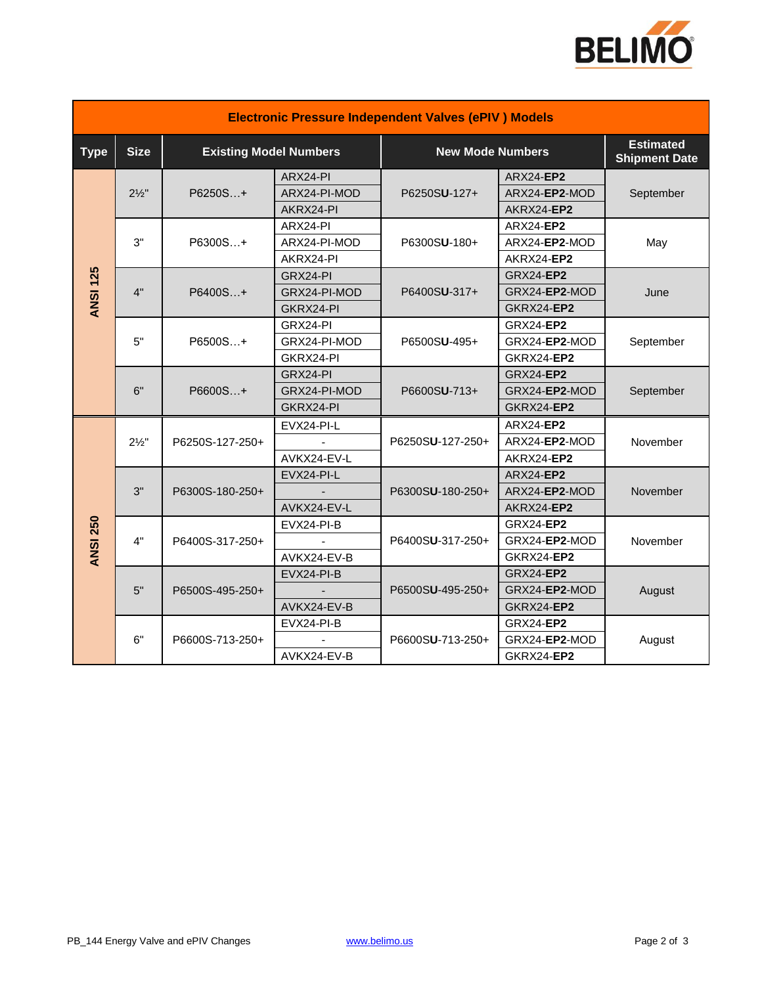

| <b>Electronic Pressure Independent Valves (ePIV) Models</b> |                  |                               |              |                         |                  |                                          |  |
|-------------------------------------------------------------|------------------|-------------------------------|--------------|-------------------------|------------------|------------------------------------------|--|
| <b>Type</b>                                                 | <b>Size</b>      | <b>Existing Model Numbers</b> |              | <b>New Mode Numbers</b> |                  | <b>Estimated</b><br><b>Shipment Date</b> |  |
|                                                             | $2\frac{1}{2}$ " | P6250S+                       | ARX24-PI     | P6250SU-127+            | ARX24-EP2        | September                                |  |
|                                                             |                  |                               | ARX24-PI-MOD |                         | ARX24-EP2-MOD    |                                          |  |
|                                                             |                  |                               | AKRX24-PI    |                         | AKRX24-EP2       |                                          |  |
|                                                             |                  |                               | ARX24-PI     | P6300SU-180+            | <b>ARX24-EP2</b> | May                                      |  |
|                                                             | 3"               | P6300S+                       | ARX24-PI-MOD |                         | ARX24-EP2-MOD    |                                          |  |
|                                                             |                  |                               | AKRX24-PI    |                         | AKRX24-EP2       |                                          |  |
|                                                             |                  | $P6400S+$                     | GRX24-PI     | P6400SU-317+            | <b>GRX24-EP2</b> | June                                     |  |
| <b>ANSI 125</b>                                             | 4"               |                               | GRX24-PI-MOD |                         | GRX24-EP2-MOD    |                                          |  |
|                                                             |                  |                               | GKRX24-PI    |                         | GKRX24-EP2       |                                          |  |
|                                                             |                  | P6500S+                       | GRX24-PI     | P6500SU-495+            | <b>GRX24-EP2</b> | September                                |  |
|                                                             | 5"               |                               | GRX24-PI-MOD |                         | GRX24-EP2-MOD    |                                          |  |
|                                                             |                  |                               | GKRX24-PI    |                         | GKRX24-EP2       |                                          |  |
|                                                             |                  | $P6600S+$                     | GRX24-PI     | P6600SU-713+            | <b>GRX24-EP2</b> | September                                |  |
|                                                             | 6"               |                               | GRX24-PI-MOD |                         | GRX24-EP2-MOD    |                                          |  |
|                                                             |                  |                               | GKRX24-PI    |                         | GKRX24-EP2       |                                          |  |
|                                                             | $2\frac{1}{2}$ " | P6250S-127-250+               | EVX24-PI-L   | P6250SU-127-250+        | <b>ARX24-EP2</b> | November                                 |  |
|                                                             |                  |                               |              |                         | ARX24-EP2-MOD    |                                          |  |
|                                                             |                  |                               | AVKX24-EV-L  |                         | AKRX24-EP2       |                                          |  |
|                                                             | 3"               | P6300S-180-250+               | EVX24-PI-L   | P6300SU-180-250+        | ARX24-EP2        | November                                 |  |
|                                                             |                  |                               |              |                         | ARX24-EP2-MOD    |                                          |  |
|                                                             |                  |                               | AVKX24-EV-L  |                         | AKRX24-EP2       |                                          |  |
|                                                             | 4"               | P6400S-317-250+               | EVX24-PI-B   | P6400SU-317-250+        | <b>GRX24-EP2</b> | November                                 |  |
|                                                             |                  |                               |              |                         | GRX24-EP2-MOD    |                                          |  |
| <b>ANSI 250</b>                                             |                  |                               | AVKX24-EV-B  |                         | GKRX24-EP2       |                                          |  |
|                                                             | 5"               | P6500S-495-250+               | EVX24-PI-B   | P6500SU-495-250+        | <b>GRX24-EP2</b> | August                                   |  |
|                                                             |                  |                               |              |                         | GRX24-EP2-MOD    |                                          |  |
|                                                             |                  |                               | AVKX24-EV-B  |                         | GKRX24-EP2       |                                          |  |
|                                                             | 6"               | P6600S-713-250+               | EVX24-PI-B   | P6600SU-713-250+        | <b>GRX24-EP2</b> | August                                   |  |
|                                                             |                  |                               |              |                         | GRX24-EP2-MOD    |                                          |  |
|                                                             |                  |                               | AVKX24-EV-B  |                         | GKRX24-EP2       |                                          |  |